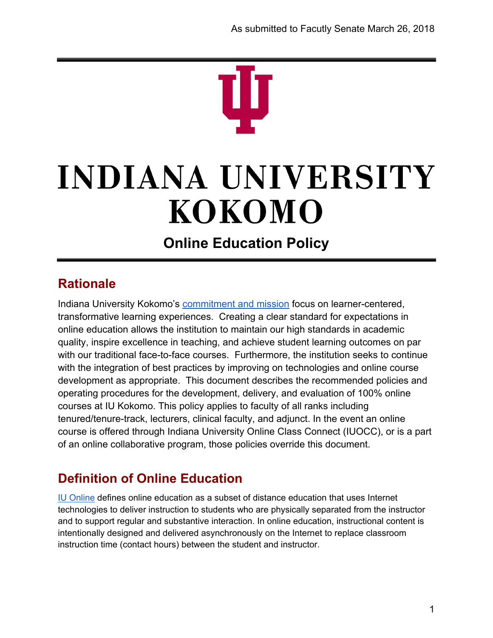# **INDIANA UNIVERSITY** KOKOMO

## **Online Education Policy**

#### **Rationale**

Indiana University Kokomo'[s](http://www.iuk.edu/academic-affairs/resources/mission.php) [commitment and mission](http://www.iuk.edu/academic-affairs/resources/mission.php) focus on learner-centered, transformative learning experiences. Creating a clear standard for expectations in online education allows the institution to maintain our high standards in academic quality, inspire excellence in teaching, and achieve student learning outcomes on par with our traditional face-to-face courses. Furthermore, the institution seeks to continue with the integration of best practices by improving on technologies and online course development as appropriate. This document describes the recommended policies and operating procedures for the development, delivery, and evaluation of 100% online courses at IU Kokomo. This policy applies to faculty of all ranks including tenured/tenure-track, lecturers, clinical faculty, and adjunct. In the event an online course is offered through Indiana University Online Class Connect (IUOCC), or is a part of an online collaborative program, those policies override this document.

### **Definition of Online Education**

[IU Online](http://online.iu.edu/_assets/docs/jobaid0913.pdf) defines online education as a subset of distance education that uses Internet technologies to deliver instruction to students who are physically separated from the instructor and to support regular and substantive interaction. In online education, instructional content is intentionally designed and delivered asynchronously on the Internet to replace classroom instruction time (contact hours) between the student and instructor.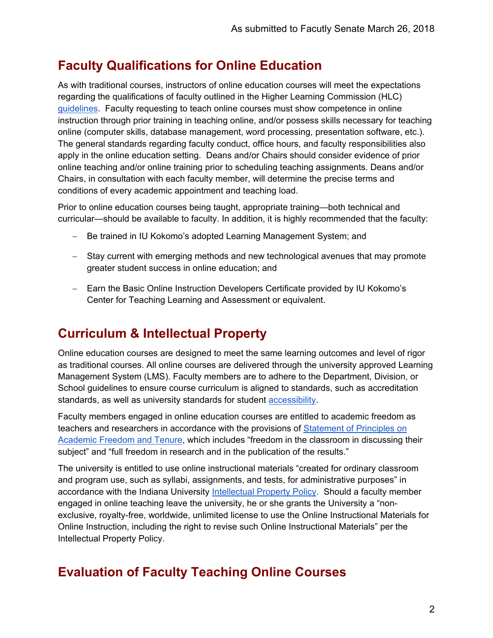#### **Faculty Qualifications for Online Education**

As with traditional courses, instructors of online education courses will meet the expectations regarding the qualifications of faculty outlined in the Higher Learning Commission (HLC[\)](https://www.hlcommission.org/Publications/determining-qualified-faculty.html) [guidelines.](https://www.hlcommission.org/Publications/determining-qualified-faculty.html) Faculty requesting to teach online courses must show competence in online instruction through prior training in teaching online, and/or possess skills necessary for teaching online (computer skills, database management, word processing, presentation software, etc.). The general standards regarding faculty conduct, office hours, and faculty responsibilities also apply in the online education setting. Deans and/or Chairs should consider evidence of prior online teaching and/or online training prior to scheduling teaching assignments. Deans and/or Chairs, in consultation with each faculty member, will determine the precise terms and conditions of every academic appointment and teaching load.

Prior to online education courses being taught, appropriate training—both technical and curricular—should be available to faculty. In addition, it is highly recommended that the faculty:

- − Be trained in IU Kokomo's adopted Learning Management System; and
- − Stay current with emerging methods and new technological avenues that may promote greater student success in online education; and
- − Earn the Basic Online Instruction Developers Certificate provided by IU Kokomo's Center for Teaching Learning and Assessment or equivalent.

#### **Curriculum & Intellectual Property**

Online education courses are designed to meet the same learning outcomes and level of rigor as traditional courses. All online courses are delivered through the university approved Learning Management System (LMS). Faculty members are to adhere to the Department, Division, or School guidelines to ensure course curriculum is aligned to standards, such as accreditation standards, as well as university standards for student [accessibility.](http://www.iuk.edu/career-services/accessibility-services/assets/pdfs/faculty-campus-accessibility-guide.pdf)

Faculty members engaged in online education courses are entitled to academic freedom as teachers and researchers in accordance with the provisions of [Statement of Principles on](http://www.aaup.org/report/1940-statement-principles-academic-freedom-and-tenure)  [Academic Freedom and Tenure,](http://www.aaup.org/report/1940-statement-principles-academic-freedom-and-tenure) which includes "freedom in the classroom in discussing their subject" and "full freedom in research and in the publication of the results."

The university is entitled to use online instructional materials "created for ordinary classroom and program use, such as syllabi, assignments, and tests, for administrative purposes" in accordance with the Indiana University [Intellectual Property Policy.](https://policies.iu.edu/policies/ua-05-intellectual-property/index.html) Should a faculty member engaged in online teaching leave the university, he or she grants the University a "nonexclusive, royalty-free, worldwide, unlimited license to use the Online Instructional Materials for Online Instruction, including the right to revise such Online Instructional Materials" per the Intellectual Property Policy.

#### **Evaluation of Faculty Teaching Online Courses**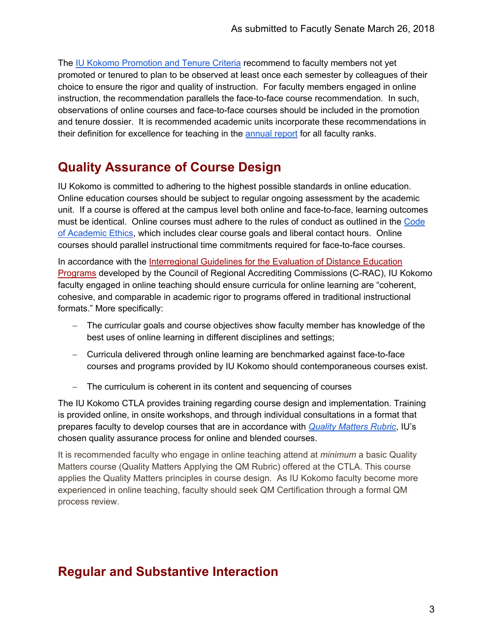The [IU Kokomo Promotion and Tenure Criteria](http://www.iuk.edu/academic-affairs/resources/promotion-tenure-criteria.php) recommend to faculty members not yet promoted or tenured to plan to be observed at least once each semester by colleagues of their choice to ensure the rigor and quality of instruction. For faculty members engaged in online instruction, the recommendation parallels the face-to-face course recommendation. In such, observations of online courses and face-to-face courses should be included in the promotion and tenure dossier. It is recommended academic units incorporate these recommendations in their definition for excellence for teaching in the [annual report](https://policies.iu.edu/policies/aca-25-annual-reports-faculty-librarians/index.html) for all faculty ranks.

#### **Quality Assurance of Course Design**

IU Kokomo is committed to adhering to the highest possible standards in online education. Online education courses should be subject to regular ongoing assessment by the academic unit. If a course is offered at the campus level both online and face-to-face, learning outcomes must be identical. Online courses must adhere to the rules of conduct as outlined in the Code [of Academic Ethics,](https://policies.iu.edu/policies/aca-33-code-academic-ethics/index.html) which includes clear course goals and liberal contact hours. Online courses should parallel instructional time commitments required for face-to-face courses.

In accordanc[e](http://nc-sara.org/files/docs/C-RAC%20Guidelines.pdf) with the Interregional Guidelines for the Evaluation of Distance Education [Programs](http://nc-sara.org/files/docs/C-RAC%20Guidelines.pdf) developed by the Council of Regional Accrediting Commissions (C-RAC), IU Kokomo faculty engaged in online teaching should ensure curricula for online learning are "coherent, cohesive, and comparable in academic rigor to programs offered in traditional instructional formats." More specifically:

- − The curricular goals and course objectives show faculty member has knowledge of the best uses of online learning in different disciplines and settings;
- − Curricula delivered through online learning are benchmarked against face-to-face courses and programs provided by IU Kokomo should contemporaneous courses exist.
- − The curriculum is coherent in its content and sequencing of courses

The IU Kokomo CTLA provides training regarding course design and implementation. Training is provided online, in onsite workshops, and through individual consultations in a format that prepares faculty to develop courses that are in accordance with *[Quality Matters Rubric](https://www.qualitymatters.org/qa-resources/rubric-standards)*, IU's chosen quality assurance process for online and blended courses.

It is recommended faculty who engage in online teaching attend at *minimum* a basic Quality Matters course (Quality Matters Applying the QM Rubric) offered at the CTLA. This course applies the Quality Matters principles in course design. As IU Kokomo faculty become more experienced in online teaching, faculty should seek QM Certification through a formal QM process review.

#### **Regular and Substantive Interaction**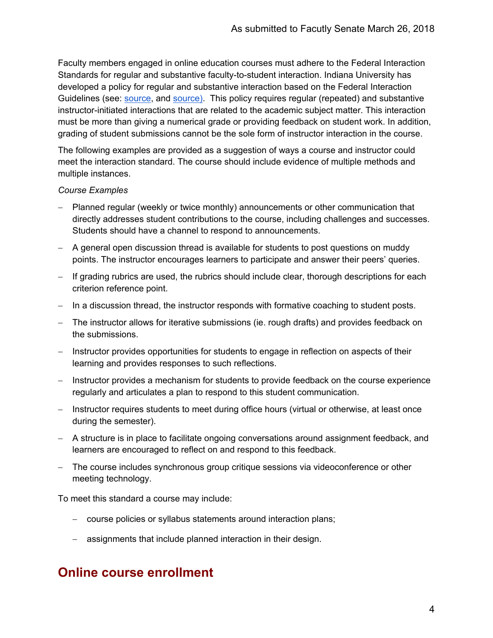Faculty members engaged in online education courses must adhere to the Federal Interaction Standards for regular and substantive faculty-to-student interaction. Indiana University has developed a policy for regular and substantive interaction based on the Federal Interaction Guidelines (see[:](https://ifap.ed.gov/dpcletters/GEN1423.htm) [source,](https://ifap.ed.gov/dpcletters/GEN1423.htm) an[d](http://wcet.wiche.edu/sites/default/files/Competency-Based-and-Direct-Assessment-Programs.pdf) [source\).](http://wcet.wiche.edu/sites/default/files/Competency-Based-and-Direct-Assessment-Programs.pdf) This policy requires regular (repeated) and substantive instructor-initiated interactions that are related to the academic subject matter. This interaction must be more than giving a numerical grade or providing feedback on student work. In addition, grading of student submissions cannot be the sole form of instructor interaction in the course.

The following examples are provided as a suggestion of ways a course and instructor could meet the interaction standard. The course should include evidence of multiple methods and multiple instances.

#### *Course Examples*

- − Planned regular (weekly or twice monthly) announcements or other communication that directly addresses student contributions to the course, including challenges and successes. Students should have a channel to respond to announcements.
- − A general open discussion thread is available for students to post questions on muddy points. The instructor encourages learners to participate and answer their peers' queries.
- − If grading rubrics are used, the rubrics should include clear, thorough descriptions for each criterion reference point.
- − In a discussion thread, the instructor responds with formative coaching to student posts.
- − The instructor allows for iterative submissions (ie. rough drafts) and provides feedback on the submissions.
- − Instructor provides opportunities for students to engage in reflection on aspects of their learning and provides responses to such reflections.
- − Instructor provides a mechanism for students to provide feedback on the course experience regularly and articulates a plan to respond to this student communication.
- − Instructor requires students to meet during office hours (virtual or otherwise, at least once during the semester).
- − A structure is in place to facilitate ongoing conversations around assignment feedback, and learners are encouraged to reflect on and respond to this feedback.
- − The course includes synchronous group critique sessions via videoconference or other meeting technology.

To meet this standard a course may include:

- − course policies or syllabus statements around interaction plans;
- − assignments that include planned interaction in their design.

#### **Online course enrollment**